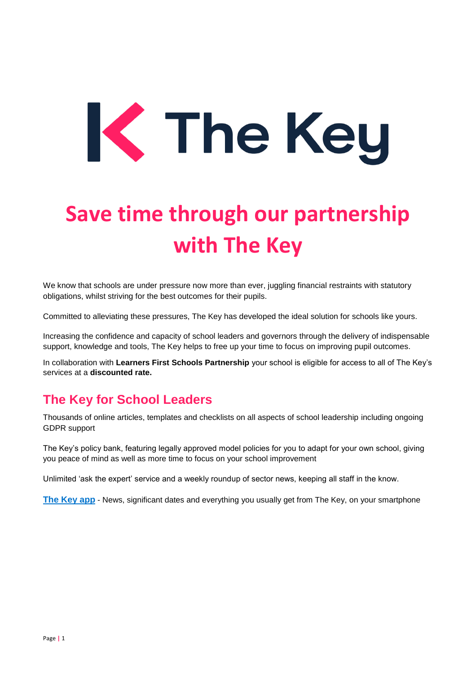

# **Save time through our partnership with The Key**

We know that schools are under pressure now more than ever, juggling financial restraints with statutory obligations, whilst striving for the best outcomes for their pupils.

Committed to alleviating these pressures, The Key has developed the ideal solution for schools like yours.

Increasing the confidence and capacity of school leaders and governors through the delivery of indispensable support, knowledge and tools, The Key helps to free up your time to focus on improving pupil outcomes.

In collaboration with **Learners First Schools Partnership** your school is eligible for access to all of The Key's services at a **discounted rate.** 

#### **[The Key for School Leaders](https://schoolleaders.thekeysupport.com/about/features_of_the_key/)**

Thousands of online articles, templates and checklists on all aspects of school leadership including ongoing GDPR support

The Key's policy bank, featuring legally approved model policies for you to adapt for your own school, giving you peace of mind as well as more time to focus on your school improvement

Unlimited 'ask the expert' service and a weekly roundup of sector news, keeping all staff in the know.

**[The Key app](https://thekeysupport.com/download-the-app/)** - News, significant dates and everything you usually get from The Key, on your smartphone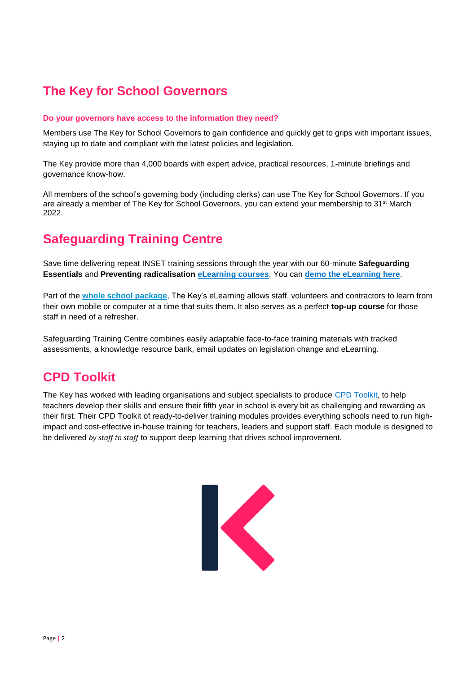## **[The Key for School Governors](https://schoolgovernors.thekeysupport.com/register/benefits/)**

#### **Do your governors have access to the information they need?**

Members use The Key for School Governors to gain confidence and quickly get to grips with important issues, staying up to date and compliant with the latest policies and legislation.

The Key provide more than 4,000 boards with expert advice, practical resources, 1-minute briefings and governance know-how.

All members of the school's governing body (including clerks) can use The Key for School Governors. If you are already a member of The Key for School Governors, you can extend your membership to 31st March 2022.

### **[Safeguarding Training Centre](https://safeguarding.thekeysupport.com/learn-more/benefits/)**

Save time delivering repeat INSET training sessions through the year with our 60-minute **Safeguarding Essentials** and **Preventing radicalisation [eLearning courses](https://safeguarding.thekeysupport.com/learn-more/what-does-elearning-contain/)**. You can **[demo the eLearning here](https://safeguarding.thekeysupport.com/learn-more/safeguarding-and-child-protection-essentials/)**.

Part of the **[whole school package](https://safeguarding.thekeysupport.com/features/)**, The Key's eLearning allows staff, volunteers and contractors to learn from their own mobile or computer at a time that suits them. It also serves as a perfect **top-up course** for those staff in need of a refresher.

Safeguarding Training Centre combines easily adaptable face-to-face training materials with tracked assessments, a knowledge resource bank, email updates on legislation change and eLearning.

#### **[CPD Toolkit](https://cpd.thekeysupport.com/features/)**

The Key has worked with leading organisations and subject specialists to produce [CPD Toolkit,](https://cpd.thekeysupport.com/) to help teachers develop their skills and ensure their fifth year in school is every bit as challenging and rewarding as their first. Their CPD Toolkit of ready-to-deliver training modules provides everything schools need to run highimpact and cost-effective in-house training for teachers, leaders and support staff. Each module is designed to be delivered *by staff to staff* to support deep learning that drives school improvement.